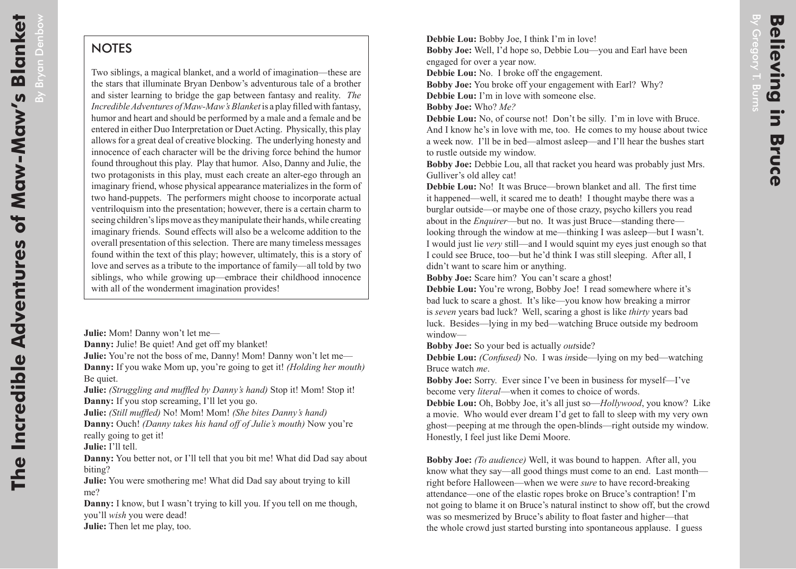By Bryan Denbow

 $\overline{a}$ 

**Bryan Denbow** 

## **NOTES**

Two siblings, a magical blanket, and a world of imagination—these are the stars that illuminate Bryan Denbow's adventurous tale of a brother and sister learning to bridge the gap between fantasy and reality. *The Incredible Adventures of Maw-Maw's Blanket* is a play filled with fantasy, humor and heart and should be performed by a male and a female and be entered in either Duo Interpretation or Duet Acting. Physically, this play allows for a great deal of creative blocking. The underlying honesty and innocence of each character will be the driving force behind the humor found throughout this play. Play that humor. Also, Danny and Julie, the two protagonists in this play, must each create an alter-ego through an imaginary friend, whose physical appearance materializes in the form of two hand-puppets. The performers might choose to incorporate actual ventriloquism into the presentation; however, there is a certain charm to seeing children's lips move as they manipulate their hands, while creating imaginary friends. Sound effects will also be a welcome addition to the overall presentation of this selection. There are many timeless messages found within the text of this play; however, ultimately, this is a story of love and serves as a tribute to the importance of family—all told by two siblings, who while growing up—embrace their childhood innocence with all of the wonderment imagination provides!

**Julie:** Mom! Danny won't let me—

**Danny:** Julie! Be quiet! And get off my blanket! **Julie:** You're not the boss of me, Danny! Mom! Danny won't let me— **Danny:** If you wake Mom up, you're going to get it! *(Holding her mouth)* Be quiet.

**Julie:** *(Struggling and muffled by Danny's hand)* Stop it! Mom! Stop it! **Danny:** If you stop screaming, I'll let you go.

**Julie:** *(Still muffled)* No! Mom! Mom! *(She bites Danny's hand)* **Danny:** Ouch! *(Danny takes his hand off of Julie's mouth)* Now you're really going to get it!

**Julie:** I'll tell.

**Danny:** You better not, or I'll tell that you bit me! What did Dad say about biting?

**Julie:** You were smothering me! What did Dad say about trying to kill me?

**Danny:** I know, but I wasn't trying to kill you. If you tell on me though, you'll *wish* you were dead!

**Julie:** Then let me play, too.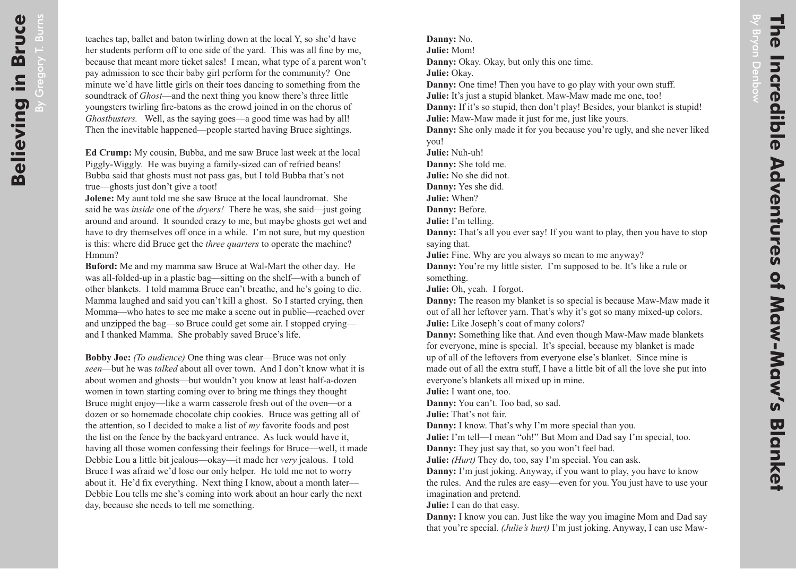By Bryan Denbow

**Bryan Denbow** 

**Danny:** No.

**Julie:** Mom!

**Danny:** Okay. Okay, but only this one time.

**Julie:** Okay.

**Danny:** One time! Then you have to go play with your own stuff.

**Julie:** It's just a stupid blanket. Maw-Maw made me one, too!

**Danny:** If it's so stupid, then don't play! Besides, your blanket is stupid! **Julie:** Maw-Maw made it just for me, just like yours.

**Danny:** She only made it for you because you're ugly, and she never liked you!

**Julie:** Nuh-uh!

**Danny:** She told me.

**Julie:** No she did not.

**Danny:** Yes she did.

**Julie:** When?

**Danny:** Before.

**Julie:** I'm telling.

**Danny:** That's all you ever say! If you want to play, then you have to stop saying that.

**Julie:** Fine. Why are you always so mean to me anyway?

**Danny:** You're my little sister. I'm supposed to be. It's like a rule or something.

**Julie:** Oh, yeah. I forgot.

**Danny:** The reason my blanket is so special is because Maw-Maw made it out of all her leftover yarn. That's why it's got so many mixed-up colors. **Julie:** Like Joseph's coat of many colors?

**Danny:** Something like that. And even though Maw-Maw made blankets for everyone, mine is special. It's special, because my blanket is made up of all of the leftovers from everyone else's blanket. Since mine is made out of all the extra stuff, I have a little bit of all the love she put into everyone's blankets all mixed up in mine.

**Julie:** I want one, too.

**Danny:** You can't. Too bad, so sad.

**Julie:** That's not fair.

**Danny:** I know. That's why I'm more special than you.

**Julie:** I'm tell—I mean "oh!" But Mom and Dad say I'm special, too. **Danny:** They just say that, so you won't feel bad.

**Julie:** *(Hurt)* They do, too, say I'm special. You can ask.

**Danny:** I'm just joking. Anyway, if you want to play, you have to know the rules. And the rules are easy—even for you. You just have to use your imagination and pretend.

**Julie:** I can do that easy.

**Danny:** I know you can. Just like the way you imagine Mom and Dad say that you're special. *(Julie's hurt)* I'm just joking. Anyway, I can use Maw